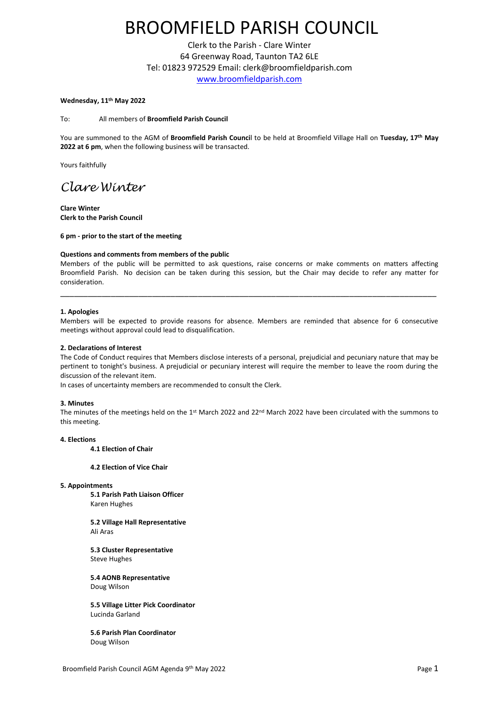# BROOMFIELD PARISH COUNCIL

Clerk to the Parish - Clare Winter 64 Greenway Road, Taunton TA2 6LE Tel: 01823 972529 Email: clerk@broomfieldparish.com [www.broomfieldparish.com](http://www.broomfieldparish.com/)

# **Wednesday, 11th May 2022**

To: All members of **Broomfield Parish Council**

You are summoned to the AGM of **Broomfield Parish Counci**l to be held at Broomfield Village Hall on **Tuesday, 17th May 2022 at 6 pm**, when the following business will be transacted.

Yours faithfully

# *Clare Winter*

**Clare Winter Clerk to the Parish Council**

**6 pm - prior to the start of the meeting**

# **Questions and comments from members of the public**

Members of the public will be permitted to ask questions, raise concerns or make comments on matters affecting Broomfield Parish. No decision can be taken during this session, but the Chair may decide to refer any matter for consideration.

\_\_\_\_\_\_\_\_\_\_\_\_\_\_\_\_\_\_\_\_\_\_\_\_\_\_\_\_\_\_\_\_\_\_\_\_\_\_\_\_\_\_\_\_\_\_\_\_\_\_\_\_\_\_\_\_\_\_\_\_\_\_\_\_\_\_\_\_\_\_\_\_\_\_\_\_\_\_\_\_\_\_

#### **1. Apologies**

Members will be expected to provide reasons for absence. Members are reminded that absence for 6 consecutive meetings without approval could lead to disqualification.

#### **2. Declarations of Interest**

The Code of Conduct requires that Members disclose interests of a personal, prejudicial and pecuniary nature that may be pertinent to tonight's business. A prejudicial or pecuniary interest will require the member to leave the room during the discussion of the relevant item.

In cases of uncertainty members are recommended to consult the Clerk.

#### **3. Minutes**

The minutes of the meetings held on the 1<sup>st</sup> March 2022 and 22<sup>nd</sup> March 2022 have been circulated with the summons to this meeting.

# **4. Elections**

**4.1 Election of Chair**

**4.2 Election of Vice Chair**

# **5. Appointments**

**5.1 Parish Path Liaison Officer** Karen Hughes

**5.2 Village Hall Representative** Ali Aras

**5.3 Cluster Representative** Steve Hughes

**5.4 AONB Representative** Doug Wilson

**5.5 Village Litter Pick Coordinator** Lucinda Garland

**5.6 Parish Plan Coordinator** Doug Wilson